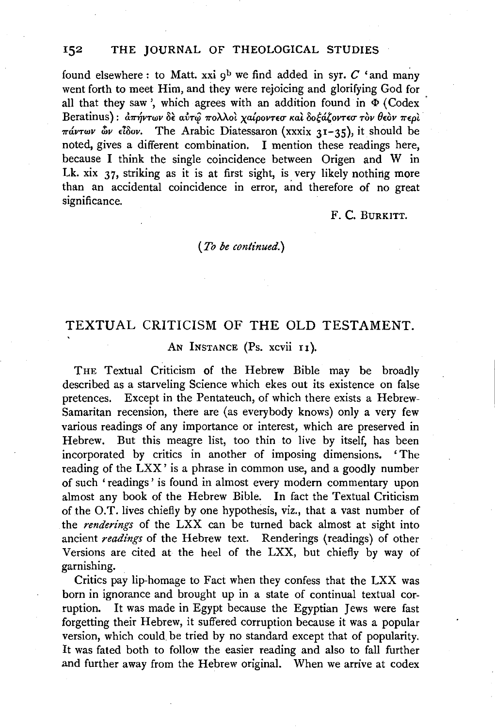found elsewhere: to Matt. xxi  $9^b$  we find added in syr. C 'and many went forth to meet Him, and they were rejoicing and glorifying God for all that they saw ', which agrees with an addition found in  $\Phi$  (Codex Beratinus):  $\frac{\partial \pi}{\partial y}$ των δε αύτω πολλοί χαίροντεσ και δοξάζοντεσ τον θεον περι  $\pi\omega v \omega v$   $\omega v \epsilon \delta \omega v$ . The Arabic Diatessaron (xxxix 31-35), it should be noted, gives a different combination. I mention these readings here, because I think the single coincidence between Origen and W in Lk. xix 37, striking as it is at first sight, is very likely nothing more than an accidental coincidence in error, and therefore of no great significance.

F. C. BURKITT.

#### *(To be continued.)*

## TEXTUAL CRITICISM OF THE OLD TESTAMENT.

### AN INSTANCE (Ps. xcvii 11).

THE Textual Criticism of the Hebrew Bible may be broadly described as a starveling Science which ekes out its existence on false pretences. Except in the Pentateuch, of which there exists a Hebrew-Samaritan recension, there are (as everybody knows) only a very few various readings of any importance or interest, which are preserved in Hebrew. But this meagre list, too thin to live by itself, has been incorporated by critics in another of imposing dimensions. ' The reading of the LXX' is a phrase in common use, and a goodly number of such ' readings ' is found in almost every modern commentary upon almost any book of the Hebrew Bible. In fact the Textual Criticism of the O.T. lives chiefly by one hypothesis, viz., that a vast number of the *renderings* of the LXX can be turned back almost at sight into ancient *readings* of the Hebrew text. Renderings (readings) of other Versions are cited at the heel of the LXX, but chiefly by way of garnishing.

Critics pay lip-homage to Fact when they confess that the LXX was born in ignorance and brought up in a state of continual textual corruption. It was made in Egypt because the Egyptian Jews were fast forgetting their Hebrew, it suffered corruption because it was a popular version, which could be tried by no standard except that of popularity. It was fated both to follow the easier reading and also to fall further and further away from the Hebrew original. When we arrive at codex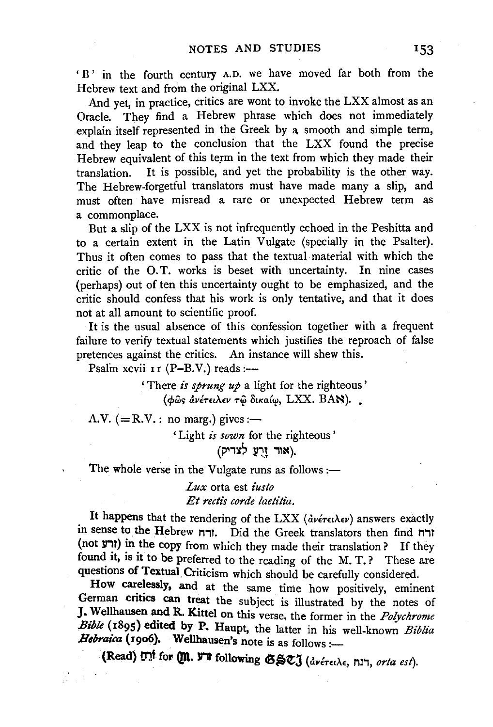'B' in the fourth century A.D. we have moved far both from the Hebrew text and from the original LXX.

And yet, in practice, critics are wont to invoke the LXX almost as an Oracle. They find a Hebrew phrase which does not immediately explain itself represented in the Greek by a smooth and simple term, and they leap to the conclusion that the LXX found the precise Hebrew equivalent of this term in the text from which they made their translation. It is possible, and yet the probability is the other way. The Hebrew-forgetful translators must have made many a slip, and must often have misread a rare or unexpected Hebrew term as a commonplace.

But a slip of the LXX is not infrequently echoed in the Peshitta and to a certain extent in the Latin Vulgate (specially in the Psalter). Thus it often comes to pass that the textual material with which the critic of the O.T. works is beset with uncertainty. In nine cases (perhaps) out of ten this uncertainty ought to be emphasized, and the critic should confess that his work is only tentative, and that it does not at all amount to scientific proof.

It is the usual absence of this confession together with a frequent failure to verify textual statements which justifies the reproach of false pretences against the critics. An instance will shew this.

Psalm xcvii II (P-B.V.) reads:-

' There *is sprung up* a light for the righteous' (φως ανέτειλεν τω δικαίω, LXX. BAN).

A.V. (= $R.V.$ : no marg.) gives:-

' Light *is sown* for the righteous '

(אור וַרֻעַ לצדיק).

The whole verse in the Vulgate runs as follows :-

*Lux* orta est *iusto Et rectis corde laetitia.* 

It happens that the rendering of the LXX (ανέτειλεν) answers exactly in sense to the Hebrew ורח. Did the Greek translators then find (not  $y$ ורע) in the copy from which they made their translation? If they found it, is it to be preferred to the reading of the M.T.? These are questions of Textual. Criticism which should be carefully considered.

How carelessly, and at the same time how positively, eminent German critics can treat the subject is illustrated by the notes of **J.** Wellhausen and R. Kittel on this verse, the former in the *Polychrome Bible* (1895) edited by P. Haupt, the latter in his well-known *Biblia llebraica* (1906). Wellhausen's note is as follows:-

(Read) **ה' for Qn. ד'ה** following  $\mathfrak{G}\mathfrak{S}\mathfrak{C}$  (dvérethe, rin, *orta est*).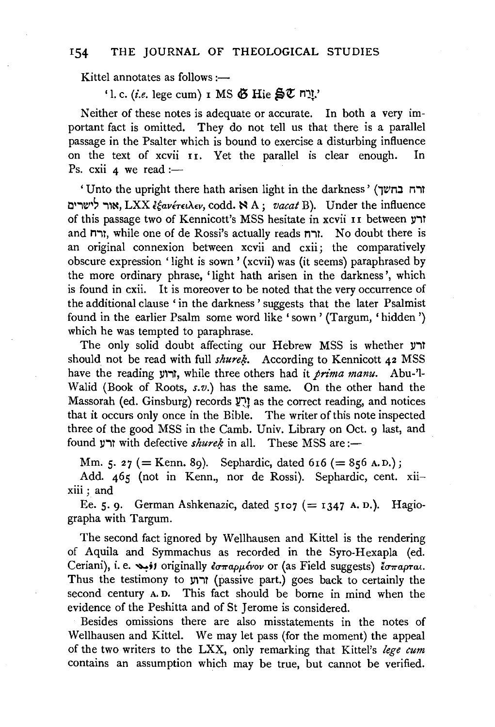Kittel annotates as follows: $\rightarrow$ 

'l. c. *(i.e.* lege cum) **I** MS  $\ddot{\mathbf{G}}$  Hie  $\mathbf{S} \mathbf{U}$   $\mathbf{n}$ *y*.'

Neither of these notes is adequate or accurate. In both a very important fact is omitted. They do not tell us that there is a parallel passage in the Psalter which is bound to exercise a disturbing influence on the text of xcvii 11. Yet the parallel is clear enough. In Ps. cxii  $4$  we read :-

'Unto the upright there hath arisen light in the darkness' (דה בחשך אור לישרים, LXX  $\xi$ *avérei* $\lambda$ ev, codd. NA; *vacat* B). Under the influence of this passage two of Kennicott's MSS hesitate in xcvii 11 between ורע and חדו, while one of de Rossi's actually reads הודח. No doubt there is an original connexion between xcvii and cxii; the comparatively obscure expression 'light is sown' (xcvii) was (it seems) paraphrased by the more ordinary phrase, 'light hath arisen in the darkness', which is found in cxii. It is moreover to be noted that the very occurrence of the additional clause ' in the darkness' suggests that the later Psalmist found in the earlier Psalm some word like 'sown' (Targum, 'hidden') which he was tempted to paraphrase.

The only solid doubt affecting our Hebrew MSS is whether  $\mu$ ורע should not be read with full *shureh*. According to Kennicott 42 MSS have the reading ll'iT, while three others had it *pnnza manu.* Abu-'1- Walid (Book of Roots, *s.v.)* has the same. On the other hand the Massorah (ed. Ginsburg) records~~! as the correct reading, and notices that it occurs only once in the Bible. The writer of this note inspected three of the good MSS in the Camb. Univ. Library on Oct. 9 last, and found  $\gamma$  with defective *shurek* in all. These MSS are:-

Mm. 5. 27 (= Kenn. 89). Sephardic, dated  $616$  (= 856 A.D.);

Add. 465 (not in Kenn., nor de Rossi). Sephardic, cent. xiixiii; and

Ee. 5. 9. German Ashkenazic, dated 5107 (= 1347 A.D.). Hagiographa with Targum.

The second fact ignored by Wellhausen and Kittel is the rendering of Aquila and Symmachus as recorded in the Syro-Hexapla (ed. Ceriani), i. e. *(i)* originally *εσπαρμένον* or (as Field suggests) *έσπαρται*. Thus the testimony to ורוע (passive part.) goes back to certainly the second century A. D. This fact should be borne in mind when the evidence of the Peshitta and of St Jerome is considered.

Besides omissions there are also misstatements in the notes of Wellhausen and Kittel. We may let pass (for the moment) the appeal of the two writers to the LXX, only remarking that Kittel's *lege cum*  contains an assumption which may be true, but cannot be verified.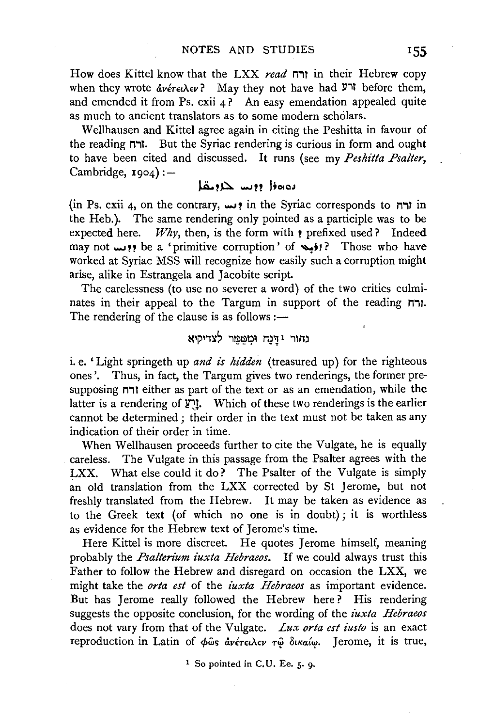How does Kittel know that the LXX *read* n'1T in their Hebrew copy when they wrote  $\frac{d}{dt}$ *ev?* May they not have had  $\frac{d}{dt}$  before them, and emended it from Ps. cxii 4? An easy emendation appealed quite as much to ancient translators as to some modern scholars.

Wellhausen and Kittel agree again in citing the Peshitta in favour of the reading n'1T. But the Syriac rendering is curious in form and ought to have been cited and discussed. It runs (see my *Peshitta Psalter,*  Cambridge,  $1904$ ) :-

## يەەۋا دوسا خارىقا

(in Ps. cxii 4, on the contrary,  $\mu$ , in the Syriac corresponds to  $\mu$ in in the Heb.). The same rendering only pointed as a participle was to be expected here. *Why*, then, is the form with  $\epsilon$  prefixed used? Indeed may not ...... ?? be a 'primitive corruption' of ~;1? Those who have worked at Syriac MSS will recognize how easily such a corruption might arise, alike in Estrangela and Jacobite script.

The carelessness (to use no severer a word) of the two critics culminates in their appeal to the Targum in support of the reading n'1T. The rendering of the clause is as follows :—

# נהור וּדַנַח וּמִטַּמֵּר לצדיקיא

i. e.' Light springeth up *and is hidden* (treasured up) for the righteous ones'. Thus, in fact, the Targum gives two renderings, the former presupposing n'1T either as part of the text or as an emendation, while the latter is a rendering of  $\mathbf{Y}$ ! Which of these two renderings is the earlier cannot be determined; their order in the text must not be taken as any indication of their order in time.

When Wellhausen proceeds further to cite the Vulgate, he is equally careless. The Vulgate in this passage from the Psalter agrees with the LXX. What else could it do? The Psalter of the Vulgate is simply an old translation from the LXX corrected by St Jerome, but not freshly translated from the Hebrew. It may be taken as evidence as to the Greek text (of which no one is in doubt); it is worthless as evidence for the Hebrew text of Jerome's time.

Here Kittel is more discreet. He quotes Jerome himself, meaning probably the *Psalterium iuxta Hebraeos.* If we could always trust this Father to follow the Hebrew and disregard on occasion the LXX, we might take the *orta est* of the *iuxta Hebraeos* as important evidence. But has Jerome really followed the Hebrew here? His rendering suggests the opposite conclusion, for the wording of the *iuxta Hebraeos*  does not vary from that of the Vulgate. *Lux orta est iusto* is an exact reproduction in Latin of φως ανέτειλεν τω δικαίω. Jerome, it is true,

1 So pointed in C.U. Ee. 5. 9.